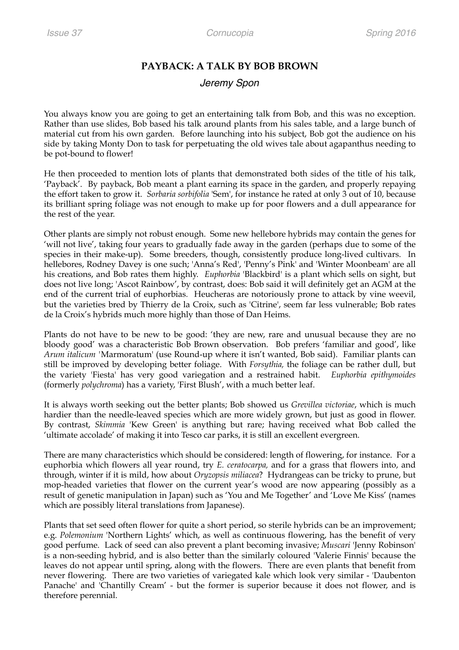## **PAYBACK: A TALK BY BOB BROWN**

## *Jeremy Spon*

You always know you are going to get an entertaining talk from Bob, and this was no exception. Rather than use slides, Bob based his talk around plants from his sales table, and a large bunch of material cut from his own garden. Before launching into his subject, Bob got the audience on his side by taking Monty Don to task for perpetuating the old wives tale about agapanthus needing to be pot-bound to flower!

He then proceeded to mention lots of plants that demonstrated both sides of the title of his talk, 'Payback'. By payback, Bob meant a plant earning its space in the garden, and properly repaying the effort taken to grow it. *Sorbaria sorbifolia* 'Sem', for instance he rated at only 3 out of 10, because its brilliant spring foliage was not enough to make up for poor flowers and a dull appearance for the rest of the year.

Other plants are simply not robust enough. Some new hellebore hybrids may contain the genes for 'will not live', taking four years to gradually fade away in the garden (perhaps due to some of the species in their make-up). Some breeders, though, consistently produce long-lived cultivars. In hellebores, Rodney Davey is one such; 'Anna's Red', 'Penny's Pink' and 'Winter Moonbeam' are all his creations, and Bob rates them highly. *Euphorbia* 'Blackbird' is a plant which sells on sight, but does not live long; 'Ascot Rainbow', by contrast, does: Bob said it will definitely get an AGM at the end of the current trial of euphorbias*.* Heucheras are notoriously prone to attack by vine weevil, but the varieties bred by Thierry de la Croix, such as 'Citrine', seem far less vulnerable; Bob rates de la Croix's hybrids much more highly than those of Dan Heims.

Plants do not have to be new to be good: 'they are new, rare and unusual because they are no bloody good' was a characteristic Bob Brown observation. Bob prefers 'familiar and good', like *Arum italicum '*Marmoratum' (use Round-up where it isn't wanted, Bob said). Familiar plants can still be improved by developing better foliage. With *Forsythia,* the foliage can be rather dull, but the variety 'Fiesta' has very good variegation and a restrained habit. *Euphorbia epithymoides*  (formerly *polychroma*) has a variety, 'First Blush', with a much better leaf.

It is always worth seeking out the better plants; Bob showed us *Grevillea victoriae*, which is much hardier than the needle-leaved species which are more widely grown, but just as good in flower. By contrast, *Skimmia* 'Kew Green' is anything but rare; having received what Bob called the 'ultimate accolade' of making it into Tesco car parks, it is still an excellent evergreen.

There are many characteristics which should be considered: length of flowering, for instance. For a euphorbia which flowers all year round, try *E. ceratocarpa,* and for a grass that flowers into, and through, winter if it is mild, how about *Oryzopsis miliacea*? Hydrangeas can be tricky to prune, but mop-headed varieties that flower on the current year's wood are now appearing (possibly as a result of genetic manipulation in Japan) such as 'You and Me Together' and 'Love Me Kiss' (names which are possibly literal translations from Japanese).

Plants that set seed often flower for quite a short period, so sterile hybrids can be an improvement; e.g. *Polemonium* 'Northern Lights' which, as well as continuous flowering, has the benefit of very good perfume. Lack of seed can also prevent a plant becoming invasive; *Muscari* 'Jenny Robinson' is a non-seeding hybrid, and is also better than the similarly coloured 'Valerie Finnis' because the leaves do not appear until spring, along with the flowers. There are even plants that benefit from never flowering. There are two varieties of variegated kale which look very similar - 'Daubenton Panache' and 'Chantilly Cream' - but the former is superior because it does not flower, and is therefore perennial.